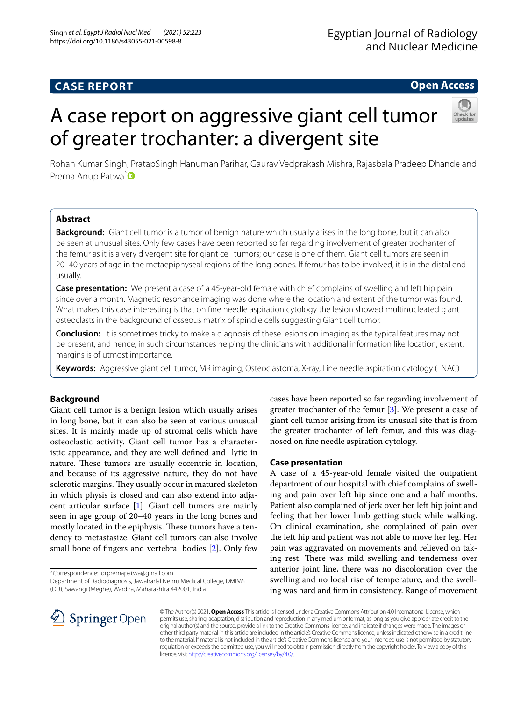# **CASE REPORT**

# **Open Access**

# A case report on aggressive giant cell tumor of greater trochanter: a divergent site



Rohan Kumar Singh, PratapSingh Hanuman Parihar, Gaurav Vedprakash Mishra, Rajasbala Pradeep Dhande and Prerna Anup Patwa<sup>[\\*](http://orcid.org/0000-0003-4214-1007)</sup>

# **Abstract**

**Background:** Giant cell tumor is a tumor of benign nature which usually arises in the long bone, but it can also be seen at unusual sites. Only few cases have been reported so far regarding involvement of greater trochanter of the femur as it is a very divergent site for giant cell tumors; our case is one of them. Giant cell tumors are seen in 20–40 years of age in the metaepiphyseal regions of the long bones. If femur has to be involved, it is in the distal end usually.

**Case presentation:** We present a case of a 45-year-old female with chief complains of swelling and left hip pain since over a month. Magnetic resonance imaging was done where the location and extent of the tumor was found. What makes this case interesting is that on fne needle aspiration cytology the lesion showed multinucleated giant osteoclasts in the background of osseous matrix of spindle cells suggesting Giant cell tumor.

**Conclusion:** It is sometimes tricky to make a diagnosis of these lesions on imaging as the typical features may not be present, and hence, in such circumstances helping the clinicians with additional information like location, extent, margins is of utmost importance.

**Keywords:** Aggressive giant cell tumor, MR imaging, Osteoclastoma, X-ray, Fine needle aspiration cytology (FNAC)

# **Background**

Giant cell tumor is a benign lesion which usually arises in long bone, but it can also be seen at various unusual sites. It is mainly made up of stromal cells which have osteoclastic activity. Giant cell tumor has a characteristic appearance, and they are well defned and lytic in nature. These tumors are usually eccentric in location, and because of its aggressive nature, they do not have sclerotic margins. They usually occur in matured skeleton in which physis is closed and can also extend into adjacent articular surface [\[1](#page-3-0)]. Giant cell tumors are mainly seen in age group of 20–40 years in the long bones and mostly located in the epiphysis. These tumors have a tendency to metastasize. Giant cell tumors can also involve small bone of fngers and vertebral bodies [[2\]](#page-3-1). Only few

\*Correspondence: drprernapatwa@gmail.com

Department of Radiodiagnosis, Jawaharlal Nehru Medical College, DMIMS (DU), Sawangi (Meghe), Wardha, Maharashtra 442001, India

cases have been reported so far regarding involvement of greater trochanter of the femur [[3\]](#page-3-2). We present a case of giant cell tumor arising from its unusual site that is from the greater trochanter of left femur, and this was diagnosed on fne needle aspiration cytology.

# **Case presentation**

A case of a 45-year-old female visited the outpatient department of our hospital with chief complains of swelling and pain over left hip since one and a half months. Patient also complained of jerk over her left hip joint and feeling that her lower limb getting stuck while walking. On clinical examination, she complained of pain over the left hip and patient was not able to move her leg. Her pain was aggravated on movements and relieved on taking rest. There was mild swelling and tenderness over anterior joint line, there was no discoloration over the swelling and no local rise of temperature, and the swelling was hard and frm in consistency. Range of movement



© The Author(s) 2021. **Open Access** This article is licensed under a Creative Commons Attribution 4.0 International License, which permits use, sharing, adaptation, distribution and reproduction in any medium or format, as long as you give appropriate credit to the original author(s) and the source, provide a link to the Creative Commons licence, and indicate if changes were made. The images or other third party material in this article are included in the article's Creative Commons licence, unless indicated otherwise in a credit line to the material. If material is not included in the article's Creative Commons licence and your intended use is not permitted by statutory regulation or exceeds the permitted use, you will need to obtain permission directly from the copyright holder. To view a copy of this licence, visit [http://creativecommons.org/licenses/by/4.0/.](http://creativecommons.org/licenses/by/4.0/)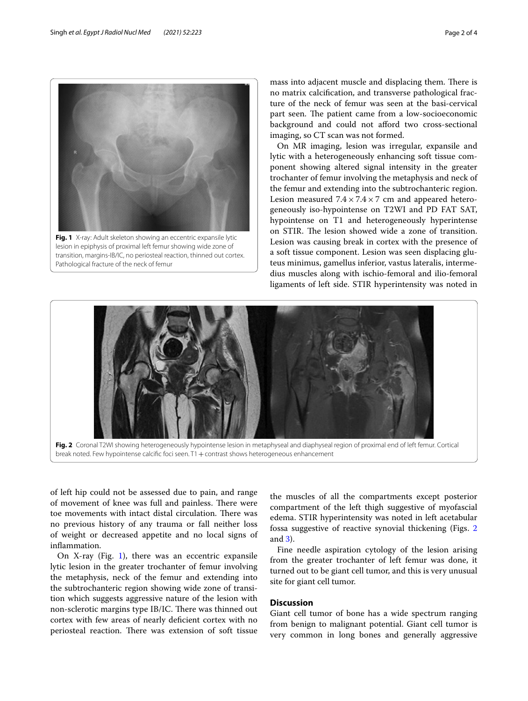

<span id="page-1-0"></span>**Fig. 1** X-ray: Adult skeleton showing an eccentric expansile lytic lesion in epiphysis of proximal left femur showing wide zone of transition, margins-IB/IC, no periosteal reaction, thinned out cortex. Pathological fracture of the neck of femur

mass into adjacent muscle and displacing them. There is no matrix calcifcation, and transverse pathological fracture of the neck of femur was seen at the basi-cervical part seen. The patient came from a low-socioeconomic background and could not afford two cross-sectional imaging, so CT scan was not formed.

On MR imaging, lesion was irregular, expansile and lytic with a heterogeneously enhancing soft tissue component showing altered signal intensity in the greater trochanter of femur involving the metaphysis and neck of the femur and extending into the subtrochanteric region. Lesion measured  $7.4 \times 7.4 \times 7$  cm and appeared heterogeneously iso-hypointense on T2WI and PD FAT SAT, hypointense on T1 and heterogeneously hyperintense on STIR. The lesion showed wide a zone of transition. Lesion was causing break in cortex with the presence of a soft tissue component. Lesion was seen displacing gluteus minimus, gamellus inferior, vastus lateralis, intermedius muscles along with ischio-femoral and ilio-femoral ligaments of left side. STIR hyperintensity was noted in



break noted. Few hypointense calcifc foci seen. T1+contrast shows heterogeneous enhancement

<span id="page-1-1"></span>of left hip could not be assessed due to pain, and range of movement of knee was full and painless. There were toe movements with intact distal circulation. There was no previous history of any trauma or fall neither loss of weight or decreased appetite and no local signs of infammation.

On X-ray (Fig. [1](#page-1-0)), there was an eccentric expansile lytic lesion in the greater trochanter of femur involving the metaphysis, neck of the femur and extending into the subtrochanteric region showing wide zone of transition which suggests aggressive nature of the lesion with non-sclerotic margins type IB/IC. There was thinned out cortex with few areas of nearly defcient cortex with no periosteal reaction. There was extension of soft tissue the muscles of all the compartments except posterior compartment of the left thigh suggestive of myofascial edema. STIR hyperintensity was noted in left acetabular fossa suggestive of reactive synovial thickening (Figs. [2](#page-1-1) and [3](#page-2-0)).

Fine needle aspiration cytology of the lesion arising from the greater trochanter of left femur was done, it turned out to be giant cell tumor, and this is very unusual site for giant cell tumor.

## **Discussion**

Giant cell tumor of bone has a wide spectrum ranging from benign to malignant potential. Giant cell tumor is very common in long bones and generally aggressive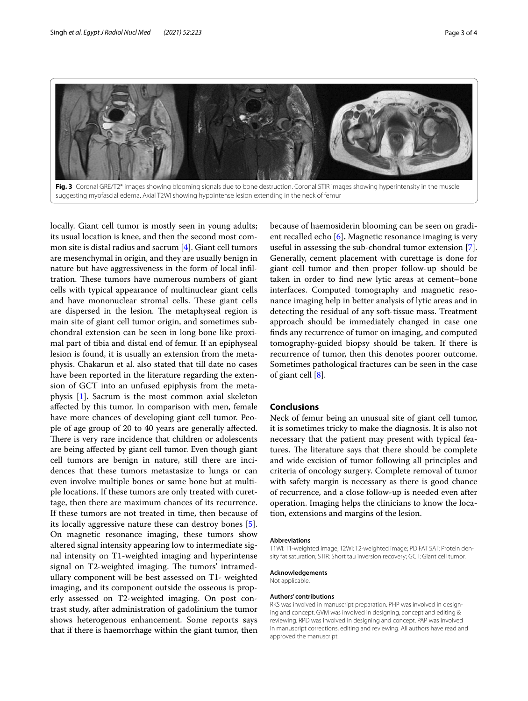

<span id="page-2-0"></span>locally. Giant cell tumor is mostly seen in young adults; its usual location is knee, and then the second most common site is distal radius and sacrum [\[4](#page-3-3)]. Giant cell tumors are mesenchymal in origin, and they are usually benign in nature but have aggressiveness in the form of local infltration. These tumors have numerous numbers of giant cells with typical appearance of multinuclear giant cells and have mononuclear stromal cells. These giant cells are dispersed in the lesion. The metaphyseal region is main site of giant cell tumor origin, and sometimes subchondral extension can be seen in long bone like proximal part of tibia and distal end of femur. If an epiphyseal lesion is found, it is usually an extension from the metaphysis. Chakarun et al. also stated that till date no cases have been reported in the literature regarding the extension of GCT into an unfused epiphysis from the metaphysis [\[1](#page-3-0)]**.** Sacrum is the most common axial skeleton afected by this tumor. In comparison with men, female have more chances of developing giant cell tumor. People of age group of 20 to 40 years are generally afected. There is very rare incidence that children or adolescents are being afected by giant cell tumor. Even though giant cell tumors are benign in nature, still there are incidences that these tumors metastasize to lungs or can even involve multiple bones or same bone but at multiple locations. If these tumors are only treated with curettage, then there are maximum chances of its recurrence. If these tumors are not treated in time, then because of its locally aggressive nature these can destroy bones [\[5](#page-3-4)]. On magnetic resonance imaging, these tumors show altered signal intensity appearing low to intermediate signal intensity on T1-weighted imaging and hyperintense signal on T2-weighted imaging. The tumors' intramedullary component will be best assessed on T1- weighted imaging, and its component outside the osseous is properly assessed on T2-weighted imaging. On post contrast study, after administration of gadolinium the tumor shows heterogenous enhancement. Some reports says that if there is haemorrhage within the giant tumor, then

because of haemosiderin blooming can be seen on gradient recalled echo [[6](#page-3-5)]**.** Magnetic resonance imaging is very useful in assessing the sub-chondral tumor extension [\[7](#page-3-6)]. Generally, cement placement with curettage is done for giant cell tumor and then proper follow-up should be taken in order to fnd new lytic areas at cement–bone interfaces. Computed tomography and magnetic resonance imaging help in better analysis of lytic areas and in detecting the residual of any soft-tissue mass. Treatment approach should be immediately changed in case one fnds any recurrence of tumor on imaging, and computed tomography-guided biopsy should be taken. If there is recurrence of tumor, then this denotes poorer outcome. Sometimes pathological fractures can be seen in the case of giant cell [\[8](#page-3-7)].

## **Conclusions**

Neck of femur being an unusual site of giant cell tumor, it is sometimes tricky to make the diagnosis. It is also not necessary that the patient may present with typical features. The literature says that there should be complete and wide excision of tumor following all principles and criteria of oncology surgery. Complete removal of tumor with safety margin is necessary as there is good chance of recurrence, and a close follow-up is needed even after operation. Imaging helps the clinicians to know the location, extensions and margins of the lesion.

#### **Abbreviations**

T1WI: T1-weighted image; T2WI: T2-weighted image; PD FAT SAT: Protein density fat saturation; STIR: Short tau inversion recovery; GCT: Giant cell tumor.

#### **Acknowledgements**

Not applicable.

#### **Authors' contributions**

RKS was involved in manuscript preparation. PHP was involved in designing and concept. GVM was involved in designing, concept and editing & reviewing. RPD was involved in designing and concept. PAP was involved in manuscript corrections, editing and reviewing. All authors have read and approved the manuscript.